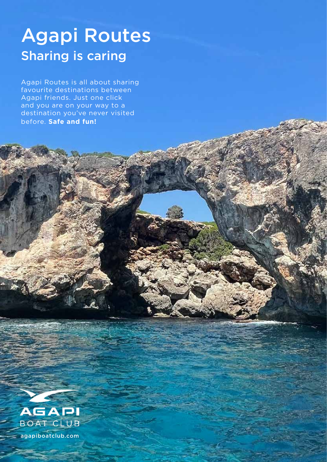# Agapi Routes Sharing is caring

Agapi Routes is all about sharing favourite destinations between Agapi friends. Just one click and you are on your way to a destination you've never visited before. **Safe and fun!**



agapiboatclub.com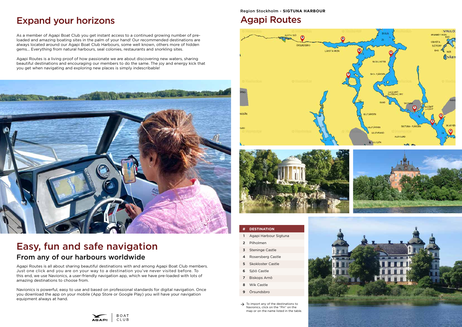Agapi Routes is all about sharing beautiful destinations with and among Agapi Boat Club members. Just one click and you are on your way to a destination you've never visited before. To this end, we use Navionics, a user-friendly navigation app, which we have pre-loaded with lots of amazing destinations to choose from.

Navionics is powerful, easy to use and based on professional standards for digital navigation. Once you download the app on your mobile (App Store or Google Play) you will have your navigation equipment always at hand.



## Easy, fun and safe navigation From any of our harbours worldwide

As a member of Agapi Boat Club you get instant access to a continued growing number of preloaded and amazing boating sites in the palm of your hand! Our recommended destinations are always located around our Agapi Boat Club Harbours, some well known, others more of hidden gems... Everything from natural harbours, seal colonies, restaurants and snorkling sites.

Agapi Routes is a living proof of how passionate we are about discovering new waters, sharing beautiful destinations and encouraging our members to do the same. The joy and energy kick that you get when navigating and exploring new places is simply indescribable!



## Expand your horizons

Region Stockholm - **SIGTUNA HARBOUR**

### Agapi Routes





#### **# DESTINATION**

- 1 [Agapi Harbour Sigtuna](https://boating.page.link/69w5NiLuaTv19HTR6)
- 2 [Pilholmen](https://boating.page.link/98szeKkR7nrud1mz6)
- 3 [Steninge Castle](https://boating.page.link/2S6ckoKW1SREEUcs7)
- 4 [Rosersberg Castle](https://boating.page.link/1amCYJr1ihA62JcG9)
- 5 [Skokloster Castle](https://boating.page.link/4CQqzjUpW1PqMfNG9)
- 6 [Sjöö Castle](https://boating.page.link/pKuigCVXoohALvDx6)
- 7 [Biskops Arnö](https://boating.page.link/jBkK1krHwEcTPW6G9)
- 8 [Wik Castle](https://boating.page.link/ZC8zouVRxjmX7QAQ9)
- 9 [Örsundsbro](https://boating.page.link/gc1RqxEoUhDSKWff9)
- $\rightarrow$  To import any of the destinations to Navionics, click on the "Pin" on the map or on the name listed in the table.